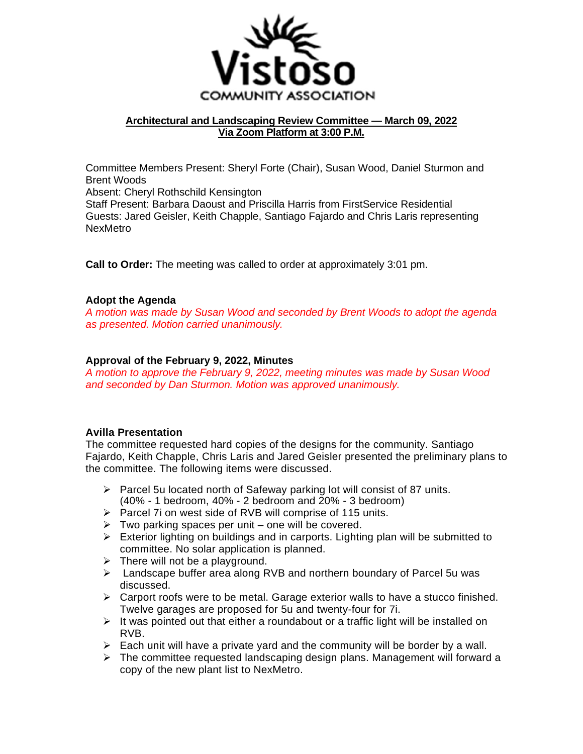

# **Architectural and Landscaping Review Committee — March 09, 2022 Via Zoom Platform at 3:00 P.M.**

Committee Members Present: Sheryl Forte (Chair), Susan Wood, Daniel Sturmon and Brent Woods Absent: Cheryl Rothschild Kensington Staff Present: Barbara Daoust and Priscilla Harris from FirstService Residential Guests: Jared Geisler, Keith Chapple, Santiago Fajardo and Chris Laris representing

**Call to Order:** The meeting was called to order at approximately 3:01 pm.

### **Adopt the Agenda**

NexMetro

*A motion was made by Susan Wood and seconded by Brent Woods to adopt the agenda as presented. Motion carried unanimously.* 

### **Approval of the February 9, 2022, Minutes**

*A motion to approve the February 9, 2022, meeting minutes was made by Susan Wood and seconded by Dan Sturmon. Motion was approved unanimously.* 

### **Avilla Presentation**

The committee requested hard copies of the designs for the community. Santiago Fajardo, Keith Chapple, Chris Laris and Jared Geisler presented the preliminary plans to the committee. The following items were discussed.

- $\triangleright$  Parcel 5u located north of Safeway parking lot will consist of 87 units. (40% - 1 bedroom, 40% - 2 bedroom and 20% - 3 bedroom)
- $\triangleright$  Parcel 7i on west side of RVB will comprise of 115 units.
- $\triangleright$  Two parking spaces per unit one will be covered.
- $\triangleright$  Exterior lighting on buildings and in carports. Lighting plan will be submitted to committee. No solar application is planned.
- $\triangleright$  There will not be a playground.
- $\triangleright$  Landscape buffer area along RVB and northern boundary of Parcel 5u was discussed.
- $\triangleright$  Carport roofs were to be metal. Garage exterior walls to have a stucco finished. Twelve garages are proposed for 5u and twenty-four for 7i.
- $\triangleright$  It was pointed out that either a roundabout or a traffic light will be installed on RVB.
- $\triangleright$  Each unit will have a private yard and the community will be border by a wall.
- $\triangleright$  The committee requested landscaping design plans. Management will forward a copy of the new plant list to NexMetro.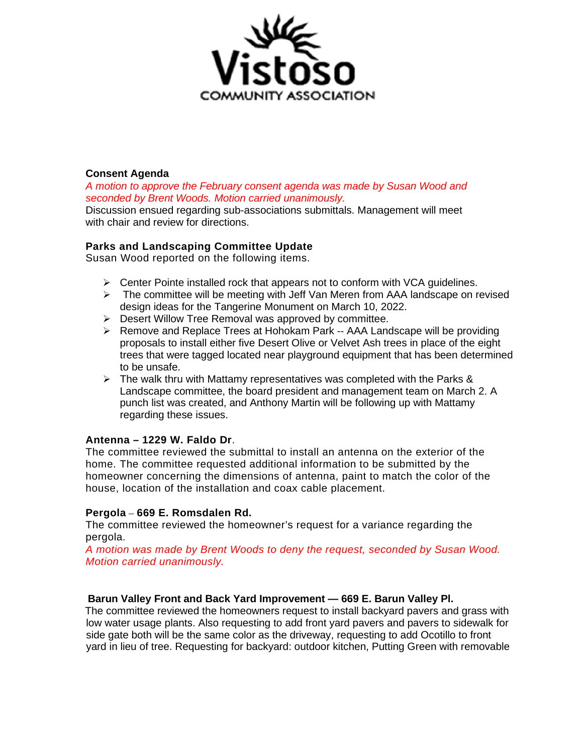

### **Consent Agenda**

*A motion to approve the February consent agenda was made by Susan Wood and seconded by Brent Woods. Motion carried unanimously.*

Discussion ensued regarding sub-associations submittals. Management will meet with chair and review for directions.

# **Parks and Landscaping Committee Update**

Susan Wood reported on the following items.

- $\triangleright$  Center Pointe installed rock that appears not to conform with VCA guidelines.
- $\triangleright$  The committee will be meeting with Jeff Van Meren from AAA landscape on revised design ideas for the Tangerine Monument on March 10, 2022.
- $\triangleright$  Desert Willow Tree Removal was approved by committee.
- ▶ Remove and Replace Trees at Hohokam Park -- AAA Landscape will be providing proposals to install either five Desert Olive or Velvet Ash trees in place of the eight trees that were tagged located near playground equipment that has been determined to be unsafe.
- $\triangleright$  The walk thru with Mattamy representatives was completed with the Parks & Landscape committee, the board president and management team on March 2. A punch list was created, and Anthony Martin will be following up with Mattamy regarding these issues.

# **Antenna – 1229 W. Faldo Dr**.

The committee reviewed the submittal to install an antenna on the exterior of the home. The committee requested additional information to be submitted by the homeowner concerning the dimensions of antenna, paint to match the color of the house, location of the installation and coax cable placement.

### **Pergola** – **669 E. Romsdalen Rd.**

The committee reviewed the homeowner's request for a variance regarding the pergola.

*A motion was made by Brent Woods to deny the request, seconded by Susan Wood. Motion carried unanimously.* 

### **Barun Valley Front and Back Yard Improvement — 669 E. Barun Valley Pl.**

The committee reviewed the homeowners request to install backyard pavers and grass with low water usage plants. Also requesting to add front yard pavers and pavers to sidewalk for side gate both will be the same color as the driveway, requesting to add Ocotillo to front yard in lieu of tree. Requesting for backyard: outdoor kitchen, Putting Green with removable